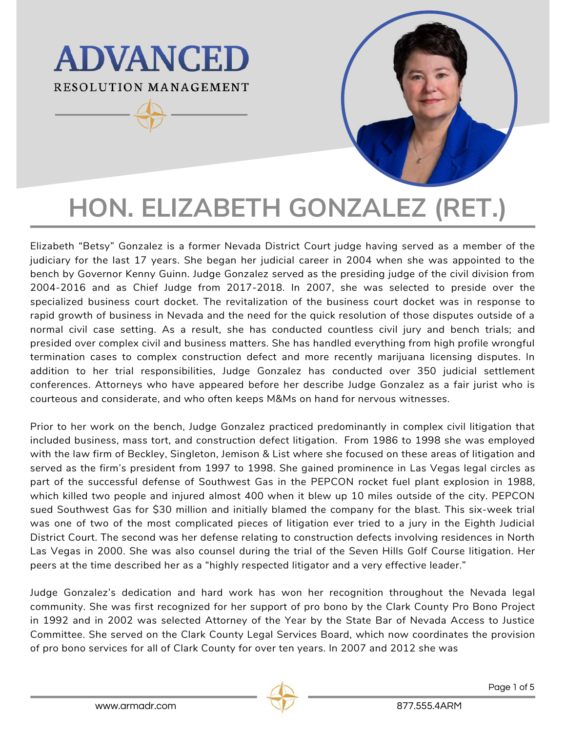# **ADVANCED** RESOLUTION MANAGEMENT



Elizabeth "Betsy" Gonzalez is a former Nevada District Court judge having served as a member of the judiciary for the last 17 years. She began her judicial career in 2004 when she was appointed to the bench by Governor Kenny Guinn. Judge Gonzalez served as the presiding judge of the civil division from 2004-2016 and as Chief Judge from 2017-2018. In 2007, she was selected to preside over the specialized business court docket. The revitalization of the business court docket was in response to rapid growth of business in Nevada and the need for the quick resolution of those disputes outside of a normal civil case setting. As a result, she has conducted countless civil jury and bench trials; and presided over complex civil and business matters. She has handled everything from high profile wrongful termination cases to complex construction defect and more recently marijuana licensing disputes. In addition to her trial responsibilities, Judge Gonzalez has conducted over 350 judicial settlement conferences. Attorneys who have appeared before her describe Judge Gonzalez as a fair jurist who is courteous and considerate, and who often keeps M&Ms on hand for nervous witnesses.

Prior to her work on the bench, Judge Gonzalez practiced predominantly in complex civil litigation that included business, mass tort, and construction defect litigation. From 1986 to 1998 she was employed with the law firm of Beckley, Singleton, Jemison & List where she focused on these areas of litigation and served as the firm's president from 1997 to 1998. She gained prominence in Las Vegas legal circles as part of the successful defense of Southwest Gas in the PEPCON rocket fuel plant explosion in 1988, which killed two people and injured almost 400 when it blew up 10 miles outside of the city. PEPCON sued Southwest Gas for \$30 million and initially blamed the company for the blast. This six-week trial was one of two of the most complicated pieces of litigation ever tried to a jury in the Eighth Judicial District Court. The second was her defense relating to construction defects involving residences in North Las Vegas in 2000. She was also counsel during the trial of the Seven Hills Golf Course litigation. Her peers at the time described her as a "highly respected litigator and a very effective leader."

Judge Gonzalez's dedication and hard work has won her recognition throughout the Nevada legal community. She was first recognized for her support of pro bono by the Clark County Pro Bono Project in 1992 and in 2002 was selected Attorney of the Year by the State Bar of Nevada Access to Justice Committee. She served on the Clark County Legal Services Board, which now coordinates the provision of pro bono services for all of Clark County for over ten years. In 2007 and 2012 she was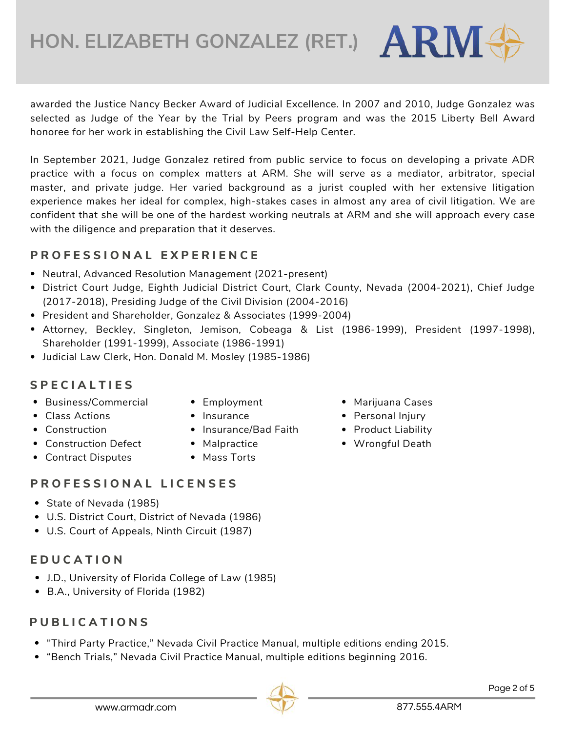awarded the Justice Nancy Becker Award of Judicial Excellence. In 2007 and 2010, Judge Gonzalez was selected as Judge of the Year by the Trial by Peers program and was the 2015 Liberty Bell Award honoree for her work in establishing the Civil Law Self-Help Center.

In September 2021, Judge Gonzalez retired from public service to focus on developing a private ADR practice with a focus on complex matters at ARM. She will serve as a mediator, arbitrator, special master, and private judge. Her varied background as a jurist coupled with her extensive litigation experience makes her ideal for complex, high-stakes cases in almost any area of civil litigation. We are confident that she will be one of the hardest working neutrals at ARM and she will approach every case with the diligence and preparation that it deserves.

## **P R O F E S S I O N A L E X P E R I E N C E**

- Neutral, Advanced Resolution Management (2021-present)
- District Court Judge, Eighth Judicial District Court, Clark County, Nevada (2004-2021), Chief Judge (2017-2018), Presiding Judge of the Civil Division (2004-2016)
- President and Shareholder, Gonzalez & Associates (1999-2004)
- Attorney, Beckley, Singleton, Jemison, Cobeaga & List (1986-1999), President (1997-1998), Shareholder (1991-1999), Associate (1986-1991)
- Judicial Law Clerk, Hon. Donald M. Mosley (1985-1986)

## **S P E C I A L T I E S**

- Business/Commercial
- Class Actions
- Employment
- Insurance
- Construction
- Construction Defect
- Malpractice

• Insurance/Bad Faith

- Marijuana Cases
- Personal Injury
- Product Liability
- Wrongful Death
- Contract Disputes
- Mass Torts

## **P R O F E S S I O N A L L I C E N S E S**

- State of Nevada (1985)
- U.S. District Court, District of Nevada (1986)
- U.S. Court of Appeals, Ninth Circuit (1987)

# **E D U C A T I O N**

- J.D., University of Florida College of Law (1985)
- B.A., University of Florida (1982)

# **P U B L I C A T I O N S**

- "Third Party Practice," Nevada Civil Practice Manual, multiple editions ending 2015.
- "Bench Trials," Nevada Civil Practice Manual, multiple editions beginning 2016.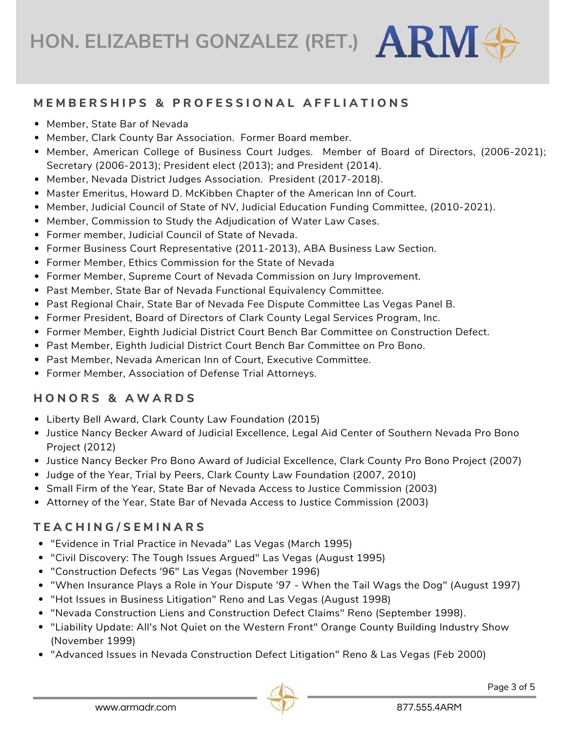#### MEMBERSHIPS & PROFESSIONAL AFFLIATIONS

- Member, State Bar of Nevada
- Member, Clark County Bar Association. Former Board member.
- Member, American College of Business Court Judges. Member of Board of Directors, (2006-2021); Secretary (2006-2013); President elect (2013); and President (2014).
- Member, Nevada District Judges Association. President (2017-2018).
- Master Emeritus, Howard D. McKibben Chapter of the American Inn of Court.
- Member, Judicial Council of State of NV, Judicial Education Funding Committee, (2010-2021).
- Member, Commission to Study the Adjudication of Water Law Cases.
- Former member, Judicial Council of State of Nevada.
- Former Business Court Representative (2011-2013), ABA Business Law Section.
- Former Member, Ethics Commission for the State of Nevada
- Former Member, Supreme Court of Nevada Commission on Jury Improvement.
- Past Member, State Bar of Nevada Functional Equivalency Committee.
- Past Regional Chair, State Bar of Nevada Fee Dispute Committee Las Vegas Panel B.
- Former President, Board of Directors of Clark County Legal Services Program, Inc.
- Former Member, Eighth Judicial District Court Bench Bar Committee on Construction Defect.
- **Past Member, Eighth Judicial District Court Bench Bar Committee on Pro Bono.**
- Past Member, Nevada American Inn of Court, Executive Committee.
- Former Member, Association of Defense Trial Attorneys.

#### **H O N O R S & A W A R D S**

- Liberty Bell Award, Clark County Law Foundation (2015)
- **Justice Nancy Becker Award of Judicial Excellence, Legal Aid Center of Southern Nevada Pro Bono** Project (2012)
- Justice Nancy Becker Pro Bono Award of Judicial Excellence, Clark County Pro Bono Project (2007)
- Judge of the Year, Trial by Peers, Clark County Law Foundation (2007, 2010)
- Small Firm of the Year, State Bar of Nevada Access to Justice Commission (2003)
- Attorney of the Year, State Bar of Nevada Access to Justice Commission (2003)

#### **T E A C H I N G / S E M I N A R S**

- "Evidence in Trial Practice in Nevada" Las Vegas (March 1995)
- "Civil Discovery: The Tough Issues Argued" Las Vegas (August 1995)
- "Construction Defects '96" Las Vegas (November 1996)
- "When Insurance Plays a Role in Your Dispute '97 When the Tail Wags the Dog" (August 1997)
- "Hot Issues in Business Litigation" Reno and Las Vegas (August 1998)
- "Nevada Construction Liens and Construction Defect Claims" Reno (September 1998).
- "Liability Update: All's Not Quiet on the Western Front" Orange County Building Industry Show (November 1999)
- "Advanced Issues in Nevada Construction Defect Litigation" Reno & Las Vegas (Feb 2000)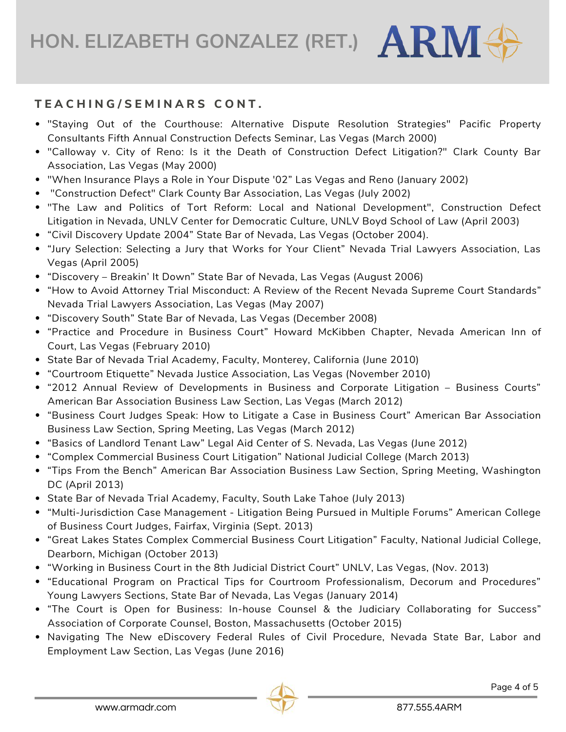#### **T E A C H I N G / S E M I N A R S C O N T .**

- "Staying Out of the Courthouse: Alternative Dispute Resolution Strategies" Pacific Property Consultants Fifth Annual Construction Defects Seminar, Las Vegas (March 2000)
- "Calloway v. City of Reno: Is it the Death of Construction Defect Litigation?" Clark County Bar Association, Las Vegas (May 2000)
- "When Insurance Plays a Role in Your Dispute '02" Las Vegas and Reno (January 2002)
- "Construction Defect" Clark County Bar Association, Las Vegas (July 2002)
- "The Law and Politics of Tort Reform: Local and National Development", Construction Defect Litigation in Nevada, UNLV Center for Democratic Culture, UNLV Boyd School of Law (April 2003)
- "Civil Discovery Update 2004" State Bar of Nevada, Las Vegas (October 2004).
- "Jury Selection: Selecting a Jury that Works for Your Client" Nevada Trial Lawyers Association, Las Vegas (April 2005)
- "Discovery Breakin' It Down" State Bar of Nevada, Las Vegas (August 2006)
- "How to Avoid Attorney Trial Misconduct: A Review of the Recent Nevada Supreme Court Standards" Nevada Trial Lawyers Association, Las Vegas (May 2007)
- "Discovery South" State Bar of Nevada, Las Vegas (December 2008)
- "Practice and Procedure in Business Court" Howard McKibben Chapter, Nevada American Inn of Court, Las Vegas (February 2010)
- State Bar of Nevada Trial Academy, Faculty, Monterey, California (June 2010)
- "Courtroom Etiquette" Nevada Justice Association, Las Vegas (November 2010)
- "2012 Annual Review of Developments in Business and Corporate Litigation Business Courts" American Bar Association Business Law Section, Las Vegas (March 2012)
- "Business Court Judges Speak: How to Litigate a Case in Business Court" American Bar Association Business Law Section, Spring Meeting, Las Vegas (March 2012)
- "Basics of Landlord Tenant Law" Legal Aid Center of S. Nevada, Las Vegas (June 2012)
- "Complex Commercial Business Court Litigation" National Judicial College (March 2013)
- "Tips From the Bench" American Bar Association Business Law Section, Spring Meeting, Washington DC (April 2013)
- State Bar of Nevada Trial Academy, Faculty, South Lake Tahoe (July 2013)
- "Multi-Jurisdiction Case Management Litigation Being Pursued in Multiple Forums" American College of Business Court Judges, Fairfax, Virginia (Sept. 2013)
- "Great Lakes States Complex Commercial Business Court Litigation" Faculty, National Judicial College, Dearborn, Michigan (October 2013)
- "Working in Business Court in the 8th Judicial District Court" UNLV, Las Vegas, (Nov. 2013)
- "Educational Program on Practical Tips for Courtroom Professionalism, Decorum and Procedures" Young Lawyers Sections, State Bar of Nevada, Las Vegas (January 2014)
- "The Court is Open for Business: In-house Counsel & the Judiciary Collaborating for Success" Association of Corporate Counsel, Boston, Massachusetts (October 2015)
- Navigating The New eDiscovery Federal Rules of Civil Procedure, Nevada State Bar, Labor and Employment Law Section, Las Vegas (June 2016)